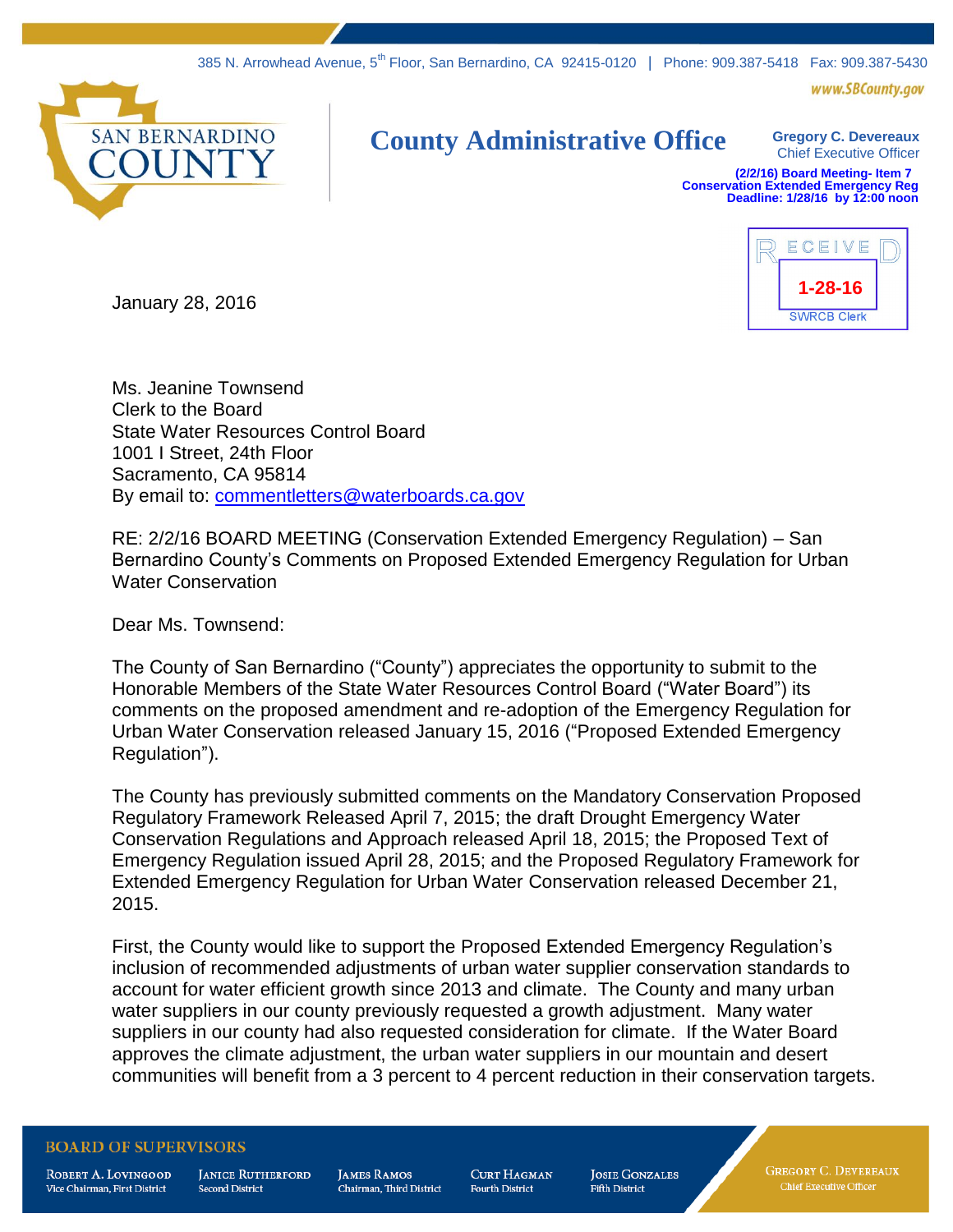www.SBCounty.gov



## **County Administrative Office Gregory C. Devereaux**

Chief Executive Officer

**(2/2/16) Board Meeting- Item 7 Conservation Extended Emergency Reg Deadline: 1/28/16 by 12:00 noon**



January 28, 2016

Ms. Jeanine Townsend Clerk to the Board State Water Resources Control Board 1001 I Street, 24th Floor Sacramento, CA 95814 By email to: [commentletters@waterboards.ca.gov](mailto:commentletters@waterboards.ca.gov)

RE: 2/2/16 BOARD MEETING (Conservation Extended Emergency Regulation) – San Bernardino County's Comments on Proposed Extended Emergency Regulation for Urban Water Conservation

Dear Ms. Townsend:

The County of San Bernardino ("County") appreciates the opportunity to submit to the Honorable Members of the State Water Resources Control Board ("Water Board") its comments on the proposed amendment and re-adoption of the Emergency Regulation for Urban Water Conservation released January 15, 2016 ("Proposed Extended Emergency Regulation").

The County has previously submitted comments on the Mandatory Conservation Proposed Regulatory Framework Released April 7, 2015; the draft Drought Emergency Water Conservation Regulations and Approach released April 18, 2015; the Proposed Text of Emergency Regulation issued April 28, 2015; and the Proposed Regulatory Framework for Extended Emergency Regulation for Urban Water Conservation released December 21, 2015.

First, the County would like to support the Proposed Extended Emergency Regulation's inclusion of recommended adjustments of urban water supplier conservation standards to account for water efficient growth since 2013 and climate. The County and many urban water suppliers in our county previously requested a growth adjustment. Many water suppliers in our county had also requested consideration for climate. If the Water Board approves the climate adjustment, the urban water suppliers in our mountain and desert communities will benefit from a 3 percent to 4 percent reduction in their conservation targets.

## **BOARD OF SUPERVISORS**

ROBERT A. LOVINGOOD Vice Chairman, First District

**JANICE RUTHERFORD Second District** 

**JAMES RAMOS** Chairman. Third District **CURT HAGMAN Fourth District** 

**JOSIE GONZALES Fifth District** 

**GREGORY C. DEVEREAUX** Chief Executive Officer